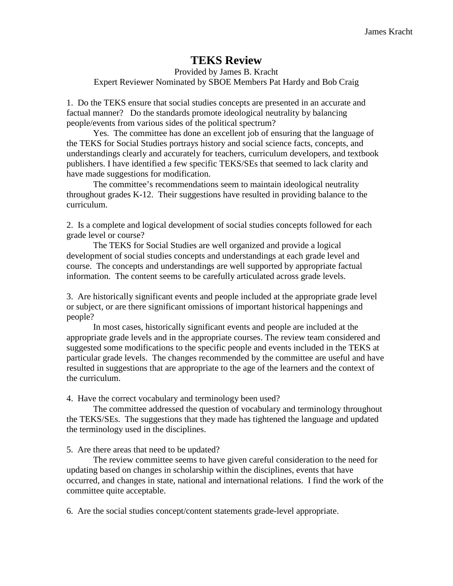# **TEKS Review**

#### Provided by James B. Kracht Expert Reviewer Nominated by SBOE Members Pat Hardy and Bob Craig

1. Do the TEKS ensure that social studies concepts are presented in an accurate and factual manner? Do the standards promote ideological neutrality by balancing people/events from various sides of the political spectrum?

Yes. The committee has done an excellent job of ensuring that the language of the TEKS for Social Studies portrays history and social science facts, concepts, and understandings clearly and accurately for teachers, curriculum developers, and textbook publishers. I have identified a few specific TEKS/SEs that seemed to lack clarity and have made suggestions for modification.

The committee's recommendations seem to maintain ideological neutrality throughout grades K-12. Their suggestions have resulted in providing balance to the curriculum.

2. Is a complete and logical development of social studies concepts followed for each grade level or course?

The TEKS for Social Studies are well organized and provide a logical development of social studies concepts and understandings at each grade level and course. The concepts and understandings are well supported by appropriate factual information. The content seems to be carefully articulated across grade levels.

3. Are historically significant events and people included at the appropriate grade level or subject, or are there significant omissions of important historical happenings and people?

In most cases, historically significant events and people are included at the appropriate grade levels and in the appropriate courses. The review team considered and suggested some modifications to the specific people and events included in the TEKS at particular grade levels. The changes recommended by the committee are useful and have resulted in suggestions that are appropriate to the age of the learners and the context of the curriculum.

4. Have the correct vocabulary and terminology been used?

The committee addressed the question of vocabulary and terminology throughout the TEKS/SEs. The suggestions that they made has tightened the language and updated the terminology used in the disciplines.

5. Are there areas that need to be updated?

The review committee seems to have given careful consideration to the need for updating based on changes in scholarship within the disciplines, events that have occurred, and changes in state, national and international relations. I find the work of the committee quite acceptable.

6. Are the social studies concept/content statements grade-level appropriate.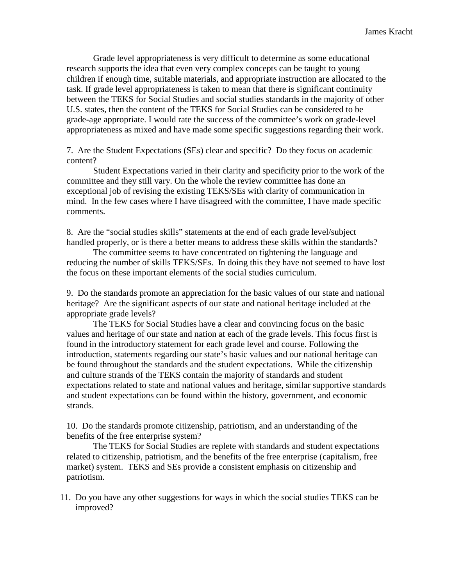Grade level appropriateness is very difficult to determine as some educational research supports the idea that even very complex concepts can be taught to young children if enough time, suitable materials, and appropriate instruction are allocated to the task. If grade level appropriateness is taken to mean that there is significant continuity between the TEKS for Social Studies and social studies standards in the majority of other U.S. states, then the content of the TEKS for Social Studies can be considered to be grade-age appropriate. I would rate the success of the committee's work on grade-level appropriateness as mixed and have made some specific suggestions regarding their work.

7. Are the Student Expectations (SEs) clear and specific? Do they focus on academic content?

Student Expectations varied in their clarity and specificity prior to the work of the committee and they still vary. On the whole the review committee has done an exceptional job of revising the existing TEKS/SEs with clarity of communication in mind. In the few cases where I have disagreed with the committee, I have made specific comments.

8. Are the "social studies skills" statements at the end of each grade level/subject handled properly, or is there a better means to address these skills within the standards?

The committee seems to have concentrated on tightening the language and reducing the number of skills TEKS/SEs. In doing this they have not seemed to have lost the focus on these important elements of the social studies curriculum.

9. Do the standards promote an appreciation for the basic values of our state and national heritage? Are the significant aspects of our state and national heritage included at the appropriate grade levels?

The TEKS for Social Studies have a clear and convincing focus on the basic values and heritage of our state and nation at each of the grade levels. This focus first is found in the introductory statement for each grade level and course. Following the introduction, statements regarding our state's basic values and our national heritage can be found throughout the standards and the student expectations. While the citizenship and culture strands of the TEKS contain the majority of standards and student expectations related to state and national values and heritage, similar supportive standards and student expectations can be found within the history, government, and economic strands.

10. Do the standards promote citizenship, patriotism, and an understanding of the benefits of the free enterprise system?

The TEKS for Social Studies are replete with standards and student expectations related to citizenship, patriotism, and the benefits of the free enterprise (capitalism, free market) system. TEKS and SEs provide a consistent emphasis on citizenship and patriotism.

11. Do you have any other suggestions for ways in which the social studies TEKS can be improved?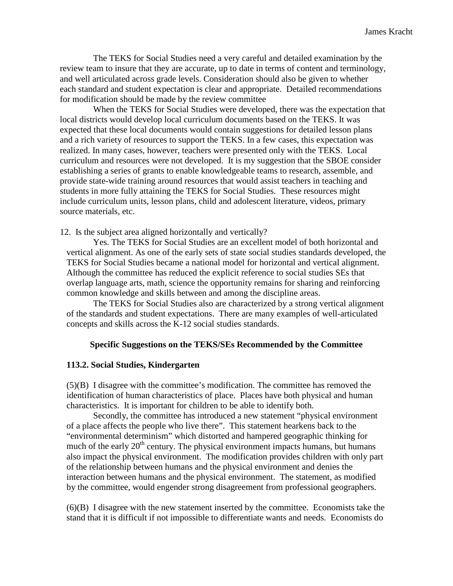The TEKS for Social Studies need a very careful and detailed examination by the review team to insure that they are accurate, up to date in terms of content and terminology, and well articulated across grade levels. Consideration should also be given to whether each standard and student expectation is clear and appropriate. Detailed recommendations for modification should be made by the review committee

When the TEKS for Social Studies were developed, there was the expectation that local districts would develop local curriculum documents based on the TEKS. It was expected that these local documents would contain suggestions for detailed lesson plans and a rich variety of resources to support the TEKS. In a few cases, this expectation was realized. In many cases, however, teachers were presented only with the TEKS. Local curriculum and resources were not developed. It is my suggestion that the SBOE consider establishing a series of grants to enable knowledgeable teams to research, assemble, and provide state-wide training around resources that would assist teachers in teaching and students in more fully attaining the TEKS for Social Studies. These resources might include curriculum units, lesson plans, child and adolescent literature, videos, primary source materials, etc.

12. Is the subject area aligned horizontally and vertically?

Yes. The TEKS for Social Studies are an excellent model of both horizontal and vertical alignment. As one of the early sets of state social studies standards developed, the TEKS for Social Studies became a national model for horizontal and vertical alignment. Although the committee has reduced the explicit reference to social studies SEs that overlap language arts, math, science the opportunity remains for sharing and reinforcing common knowledge and skills between and among the discipline areas.

The TEKS for Social Studies also are characterized by a strong vertical alignment of the standards and student expectations. There are many examples of well-articulated concepts and skills across the K-12 social studies standards.

#### **Specific Suggestions on the TEKS/SEs Recommended by the Committee**

#### **113.2. Social Studies, Kindergarten**

(5)(B) I disagree with the committee's modification. The committee has removed the identification of human characteristics of place. Places have both physical and human characteristics. It is important for children to be able to identify both.

Secondly, the committee has introduced a new statement "physical environment of a place affects the people who live there". This statement hearkens back to the "environmental determinism" which distorted and hampered geographic thinking for much of the early  $20<sup>th</sup>$  century. The physical environment impacts humans, but humans also impact the physical environment. The modification provides children with only part of the relationship between humans and the physical environment and denies the interaction between humans and the physical environment. The statement, as modified by the committee, would engender strong disagreement from professional geographers.

(6)(B) I disagree with the new statement inserted by the committee. Economists take the stand that it is difficult if not impossible to differentiate wants and needs. Economists do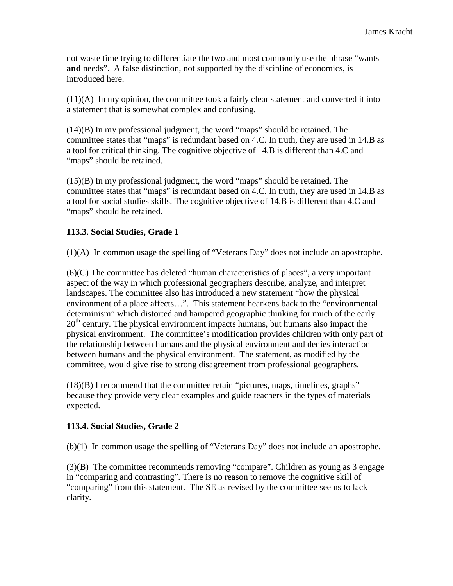not waste time trying to differentiate the two and most commonly use the phrase "wants **and** needs". A false distinction, not supported by the discipline of economics, is introduced here.

 $(11)(A)$  In my opinion, the committee took a fairly clear statement and converted it into a statement that is somewhat complex and confusing.

(14)(B) In my professional judgment, the word "maps" should be retained. The committee states that "maps" is redundant based on 4.C. In truth, they are used in 14.B as a tool for critical thinking. The cognitive objective of 14.B is different than 4.C and "maps" should be retained.

(15)(B) In my professional judgment, the word "maps" should be retained. The committee states that "maps" is redundant based on 4.C. In truth, they are used in 14.B as a tool for social studies skills. The cognitive objective of 14.B is different than 4.C and "maps" should be retained.

## **113.3. Social Studies, Grade 1**

(1)(A) In common usage the spelling of "Veterans Day" does not include an apostrophe.

(6)(C) The committee has deleted "human characteristics of places", a very important aspect of the way in which professional geographers describe, analyze, and interpret landscapes. The committee also has introduced a new statement "how the physical environment of a place affects…". This statement hearkens back to the "environmental determinism" which distorted and hampered geographic thinking for much of the early  $20<sup>th</sup>$  century. The physical environment impacts humans, but humans also impact the physical environment. The committee's modification provides children with only part of the relationship between humans and the physical environment and denies interaction between humans and the physical environment. The statement, as modified by the committee, would give rise to strong disagreement from professional geographers.

(18)(B) I recommend that the committee retain "pictures, maps, timelines, graphs" because they provide very clear examples and guide teachers in the types of materials expected.

#### **113.4. Social Studies, Grade 2**

(b)(1) In common usage the spelling of "Veterans Day" does not include an apostrophe.

(3)(B) The committee recommends removing "compare". Children as young as 3 engage in "comparing and contrasting". There is no reason to remove the cognitive skill of "comparing" from this statement. The SE as revised by the committee seems to lack clarity.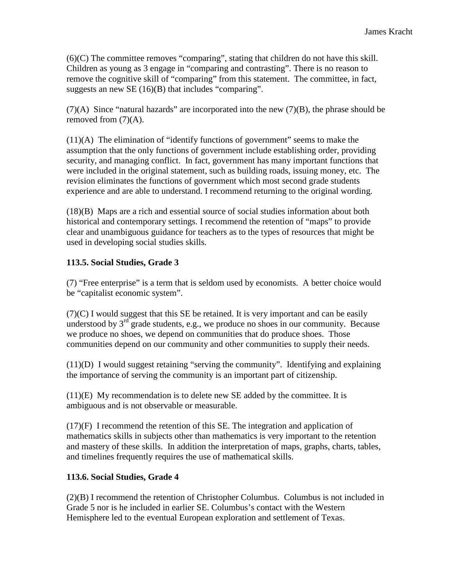(6)(C) The committee removes "comparing", stating that children do not have this skill. Children as young as 3 engage in "comparing and contrasting". There is no reason to remove the cognitive skill of "comparing" from this statement. The committee, in fact, suggests an new SE (16)(B) that includes "comparing".

 $(7)(A)$  Since "natural hazards" are incorporated into the new  $(7)(B)$ , the phrase should be removed from (7)(A).

(11)(A) The elimination of "identify functions of government" seems to make the assumption that the only functions of government include establishing order, providing security, and managing conflict. In fact, government has many important functions that were included in the original statement, such as building roads, issuing money, etc. The revision eliminates the functions of government which most second grade students experience and are able to understand. I recommend returning to the original wording.

(18)(B) Maps are a rich and essential source of social studies information about both historical and contemporary settings. I recommend the retention of "maps" to provide clear and unambiguous guidance for teachers as to the types of resources that might be used in developing social studies skills.

## **113.5. Social Studies, Grade 3**

(7) "Free enterprise" is a term that is seldom used by economists. A better choice would be "capitalist economic system".

(7)(C) I would suggest that this SE be retained. It is very important and can be easily understood by  $3^{rd}$  grade students, e.g., we produce no shoes in our community. Because we produce no shoes, we depend on communities that do produce shoes. Those communities depend on our community and other communities to supply their needs.

(11)(D) I would suggest retaining "serving the community". Identifying and explaining the importance of serving the community is an important part of citizenship.

 $(11)(E)$  My recommendation is to delete new SE added by the committee. It is ambiguous and is not observable or measurable.

(17)(F) I recommend the retention of this SE. The integration and application of mathematics skills in subjects other than mathematics is very important to the retention and mastery of these skills. In addition the interpretation of maps, graphs, charts, tables, and timelines frequently requires the use of mathematical skills.

#### **113.6. Social Studies, Grade 4**

(2)(B) I recommend the retention of Christopher Columbus. Columbus is not included in Grade 5 nor is he included in earlier SE. Columbus's contact with the Western Hemisphere led to the eventual European exploration and settlement of Texas.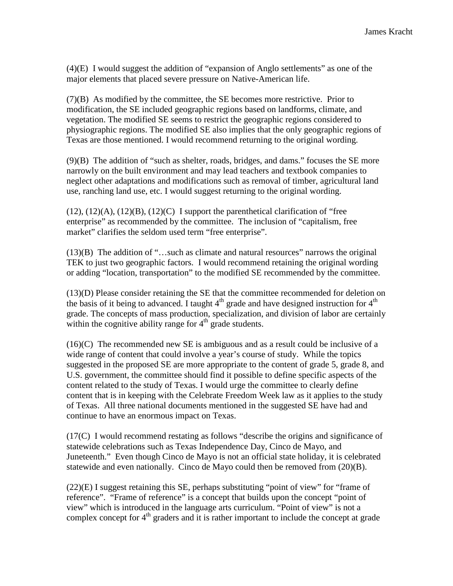(4)(E) I would suggest the addition of "expansion of Anglo settlements" as one of the major elements that placed severe pressure on Native-American life.

(7)(B) As modified by the committee, the SE becomes more restrictive. Prior to modification, the SE included geographic regions based on landforms, climate, and vegetation. The modified SE seems to restrict the geographic regions considered to physiographic regions. The modified SE also implies that the only geographic regions of Texas are those mentioned. I would recommend returning to the original wording.

(9)(B) The addition of "such as shelter, roads, bridges, and dams." focuses the SE more narrowly on the built environment and may lead teachers and textbook companies to neglect other adaptations and modifications such as removal of timber, agricultural land use, ranching land use, etc. I would suggest returning to the original wording.

 $(12)$ ,  $(12)(A)$ ,  $(12)(B)$ ,  $(12)(C)$  I support the parenthetical clarification of "free enterprise" as recommended by the committee. The inclusion of "capitalism, free market" clarifies the seldom used term "free enterprise".

(13)(B) The addition of "…such as climate and natural resources" narrows the original TEK to just two geographic factors. I would recommend retaining the original wording or adding "location, transportation" to the modified SE recommended by the committee.

(13)(D) Please consider retaining the SE that the committee recommended for deletion on the basis of it being to advanced. I taught  $4<sup>th</sup>$  grade and have designed instruction for  $4<sup>th</sup>$ grade. The concepts of mass production, specialization, and division of labor are certainly within the cognitive ability range for  $4<sup>th</sup>$  grade students.

 $(16)(C)$  The recommended new SE is ambiguous and as a result could be inclusive of a wide range of content that could involve a year's course of study. While the topics suggested in the proposed SE are more appropriate to the content of grade 5, grade 8, and U.S. government, the committee should find it possible to define specific aspects of the content related to the study of Texas. I would urge the committee to clearly define content that is in keeping with the Celebrate Freedom Week law as it applies to the study of Texas. All three national documents mentioned in the suggested SE have had and continue to have an enormous impact on Texas.

(17(C) I would recommend restating as follows "describe the origins and significance of statewide celebrations such as Texas Independence Day, Cinco de Mayo, and Juneteenth." Even though Cinco de Mayo is not an official state holiday, it is celebrated statewide and even nationally. Cinco de Mayo could then be removed from  $(20)(B)$ .

(22)(E) I suggest retaining this SE, perhaps substituting "point of view" for "frame of reference". "Frame of reference" is a concept that builds upon the concept "point of view" which is introduced in the language arts curriculum. "Point of view" is not a complex concept for  $4<sup>th</sup>$  graders and it is rather important to include the concept at grade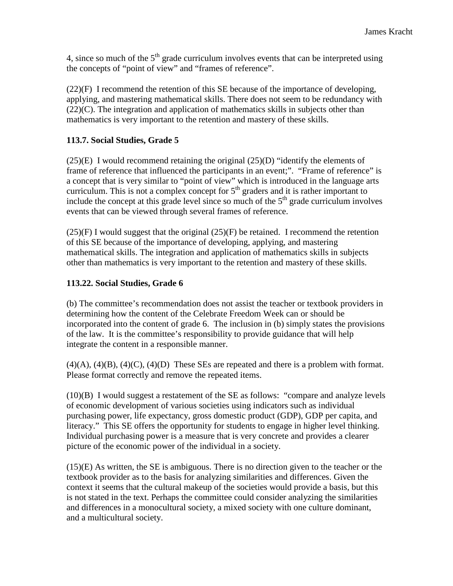4, since so much of the  $5<sup>th</sup>$  grade curriculum involves events that can be interpreted using the concepts of "point of view" and "frames of reference".

(22)(F) I recommend the retention of this SE because of the importance of developing, applying, and mastering mathematical skills. There does not seem to be redundancy with (22)(C). The integration and application of mathematics skills in subjects other than mathematics is very important to the retention and mastery of these skills.

#### **113.7. Social Studies, Grade 5**

(25)(E) I would recommend retaining the original (25)(D) "identify the elements of frame of reference that influenced the participants in an event;". "Frame of reference" is a concept that is very similar to "point of view" which is introduced in the language arts curriculum. This is not a complex concept for  $5<sup>th</sup>$  graders and it is rather important to include the concept at this grade level since so much of the  $5<sup>th</sup>$  grade curriculum involves events that can be viewed through several frames of reference.

 $(25)(F)$  I would suggest that the original  $(25)(F)$  be retained. I recommend the retention of this SE because of the importance of developing, applying, and mastering mathematical skills. The integration and application of mathematics skills in subjects other than mathematics is very important to the retention and mastery of these skills.

#### **113.22. Social Studies, Grade 6**

(b) The committee's recommendation does not assist the teacher or textbook providers in determining how the content of the Celebrate Freedom Week can or should be incorporated into the content of grade 6. The inclusion in (b) simply states the provisions of the law. It is the committee's responsibility to provide guidance that will help integrate the content in a responsible manner.

 $(4)(A)$ ,  $(4)(B)$ ,  $(4)(C)$ ,  $(4)(D)$  These SEs are repeated and there is a problem with format. Please format correctly and remove the repeated items.

(10)(B) I would suggest a restatement of the SE as follows: "compare and analyze levels of economic development of various societies using indicators such as individual purchasing power, life expectancy, gross domestic product (GDP), GDP per capita, and literacy." This SE offers the opportunity for students to engage in higher level thinking. Individual purchasing power is a measure that is very concrete and provides a clearer picture of the economic power of the individual in a society.

 $(15)(E)$  As written, the SE is ambiguous. There is no direction given to the teacher or the textbook provider as to the basis for analyzing similarities and differences. Given the context it seems that the cultural makeup of the societies would provide a basis, but this is not stated in the text. Perhaps the committee could consider analyzing the similarities and differences in a monocultural society, a mixed society with one culture dominant, and a multicultural society.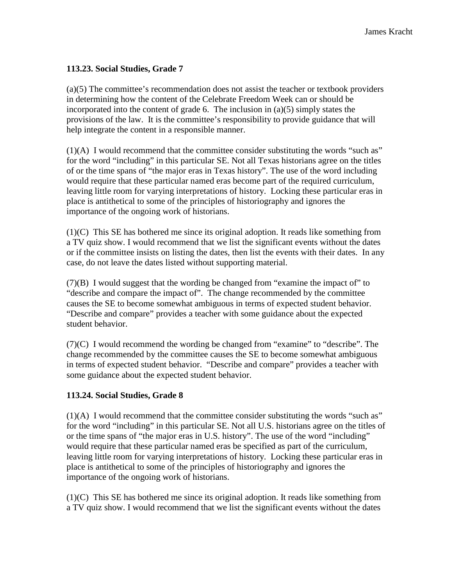#### **113.23. Social Studies, Grade 7**

(a)(5) The committee's recommendation does not assist the teacher or textbook providers in determining how the content of the Celebrate Freedom Week can or should be incorporated into the content of grade 6. The inclusion in (a)(5) simply states the provisions of the law. It is the committee's responsibility to provide guidance that will help integrate the content in a responsible manner.

 $(1)(A)$  I would recommend that the committee consider substituting the words "such as" for the word "including" in this particular SE. Not all Texas historians agree on the titles of or the time spans of "the major eras in Texas history". The use of the word including would require that these particular named eras become part of the required curriculum, leaving little room for varying interpretations of history. Locking these particular eras in place is antithetical to some of the principles of historiography and ignores the importance of the ongoing work of historians.

(1)(C) This SE has bothered me since its original adoption. It reads like something from a TV quiz show. I would recommend that we list the significant events without the dates or if the committee insists on listing the dates, then list the events with their dates. In any case, do not leave the dates listed without supporting material.

(7)(B) I would suggest that the wording be changed from "examine the impact of" to "describe and compare the impact of". The change recommended by the committee causes the SE to become somewhat ambiguous in terms of expected student behavior. "Describe and compare" provides a teacher with some guidance about the expected student behavior.

(7)(C) I would recommend the wording be changed from "examine" to "describe". The change recommended by the committee causes the SE to become somewhat ambiguous in terms of expected student behavior. "Describe and compare" provides a teacher with some guidance about the expected student behavior.

#### **113.24. Social Studies, Grade 8**

 $(1)(A)$  I would recommend that the committee consider substituting the words "such as" for the word "including" in this particular SE. Not all U.S. historians agree on the titles of or the time spans of "the major eras in U.S. history". The use of the word "including" would require that these particular named eras be specified as part of the curriculum, leaving little room for varying interpretations of history. Locking these particular eras in place is antithetical to some of the principles of historiography and ignores the importance of the ongoing work of historians.

(1)(C) This SE has bothered me since its original adoption. It reads like something from a TV quiz show. I would recommend that we list the significant events without the dates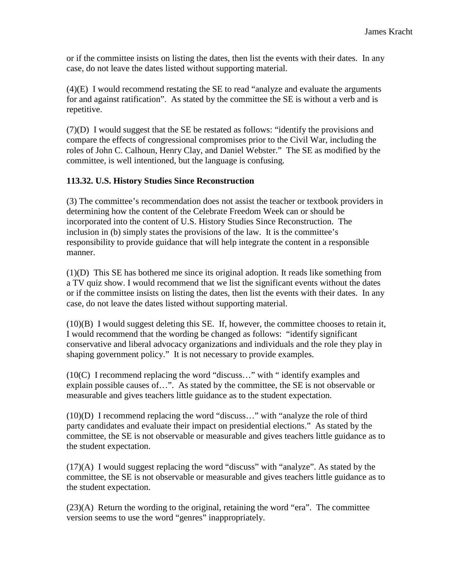or if the committee insists on listing the dates, then list the events with their dates. In any case, do not leave the dates listed without supporting material.

(4)(E) I would recommend restating the SE to read "analyze and evaluate the arguments for and against ratification". As stated by the committee the SE is without a verb and is repetitive.

(7)(D) I would suggest that the SE be restated as follows: "identify the provisions and compare the effects of congressional compromises prior to the Civil War, including the roles of John C. Calhoun, Henry Clay, and Daniel Webster." The SE as modified by the committee, is well intentioned, but the language is confusing.

## **113.32. U.S. History Studies Since Reconstruction**

(3) The committee's recommendation does not assist the teacher or textbook providers in determining how the content of the Celebrate Freedom Week can or should be incorporated into the content of U.S. History Studies Since Reconstruction. The inclusion in (b) simply states the provisions of the law. It is the committee's responsibility to provide guidance that will help integrate the content in a responsible manner.

(1)(D) This SE has bothered me since its original adoption. It reads like something from a TV quiz show. I would recommend that we list the significant events without the dates or if the committee insists on listing the dates, then list the events with their dates. In any case, do not leave the dates listed without supporting material.

(10)(B) I would suggest deleting this SE. If, however, the committee chooses to retain it, I would recommend that the wording be changed as follows: "identify significant conservative and liberal advocacy organizations and individuals and the role they play in shaping government policy." It is not necessary to provide examples.

(10(C) I recommend replacing the word "discuss…" with " identify examples and explain possible causes of…". As stated by the committee, the SE is not observable or measurable and gives teachers little guidance as to the student expectation.

(10)(D) I recommend replacing the word "discuss…" with "analyze the role of third party candidates and evaluate their impact on presidential elections." As stated by the committee, the SE is not observable or measurable and gives teachers little guidance as to the student expectation.

(17)(A) I would suggest replacing the word "discuss" with "analyze". As stated by the committee, the SE is not observable or measurable and gives teachers little guidance as to the student expectation.

 $(23)(A)$  Return the wording to the original, retaining the word "era". The committee version seems to use the word "genres" inappropriately.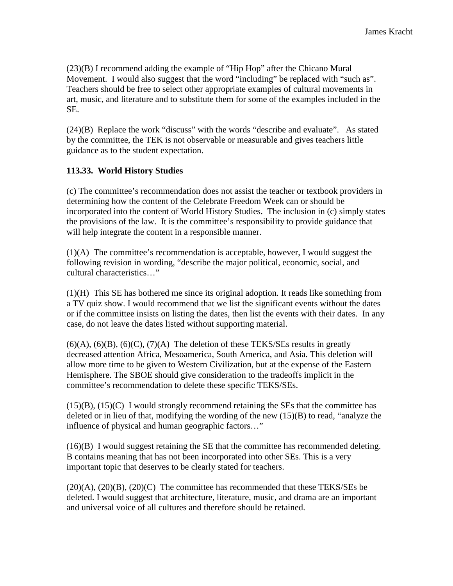(23)(B) I recommend adding the example of "Hip Hop" after the Chicano Mural Movement. I would also suggest that the word "including" be replaced with "such as". Teachers should be free to select other appropriate examples of cultural movements in art, music, and literature and to substitute them for some of the examples included in the SE.

(24)(B) Replace the work "discuss" with the words "describe and evaluate". As stated by the committee, the TEK is not observable or measurable and gives teachers little guidance as to the student expectation.

#### **113.33. World History Studies**

(c) The committee's recommendation does not assist the teacher or textbook providers in determining how the content of the Celebrate Freedom Week can or should be incorporated into the content of World History Studies. The inclusion in (c) simply states the provisions of the law. It is the committee's responsibility to provide guidance that will help integrate the content in a responsible manner.

(1)(A) The committee's recommendation is acceptable, however, I would suggest the following revision in wording, "describe the major political, economic, social, and cultural characteristics…"

(1)(H) This SE has bothered me since its original adoption. It reads like something from a TV quiz show. I would recommend that we list the significant events without the dates or if the committee insists on listing the dates, then list the events with their dates. In any case, do not leave the dates listed without supporting material.

 $(6)(A)$ ,  $(6)(B)$ ,  $(6)(C)$ ,  $(7)(A)$  The deletion of these TEKS/SEs results in greatly decreased attention Africa, Mesoamerica, South America, and Asia. This deletion will allow more time to be given to Western Civilization, but at the expense of the Eastern Hemisphere. The SBOE should give consideration to the tradeoffs implicit in the committee's recommendation to delete these specific TEKS/SEs.

 $(15)(B)$ ,  $(15)(C)$  I would strongly recommend retaining the SEs that the committee has deleted or in lieu of that, modifying the wording of the new (15)(B) to read, "analyze the influence of physical and human geographic factors…"

(16)(B) I would suggest retaining the SE that the committee has recommended deleting. B contains meaning that has not been incorporated into other SEs. This is a very important topic that deserves to be clearly stated for teachers.

 $(20)(A)$ ,  $(20)(B)$ ,  $(20)(C)$  The committee has recommended that these TEKS/SEs be deleted. I would suggest that architecture, literature, music, and drama are an important and universal voice of all cultures and therefore should be retained.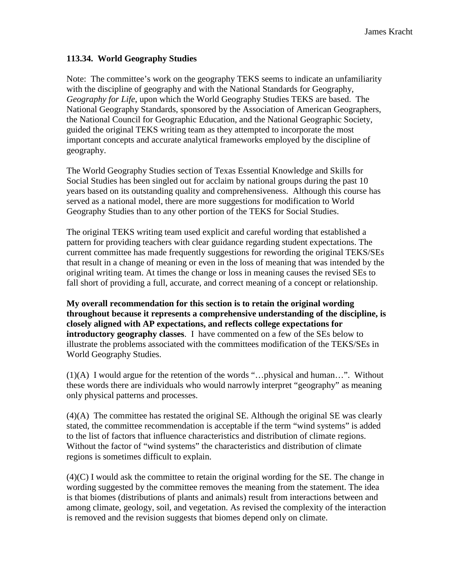#### **113.34. World Geography Studies**

Note: The committee's work on the geography TEKS seems to indicate an unfamiliarity with the discipline of geography and with the National Standards for Geography, *Geography for Life*, upon which the World Geography Studies TEKS are based. The National Geography Standards, sponsored by the Association of American Geographers, the National Council for Geographic Education, and the National Geographic Society, guided the original TEKS writing team as they attempted to incorporate the most important concepts and accurate analytical frameworks employed by the discipline of geography.

The World Geography Studies section of Texas Essential Knowledge and Skills for Social Studies has been singled out for acclaim by national groups during the past 10 years based on its outstanding quality and comprehensiveness. Although this course has served as a national model, there are more suggestions for modification to World Geography Studies than to any other portion of the TEKS for Social Studies.

The original TEKS writing team used explicit and careful wording that established a pattern for providing teachers with clear guidance regarding student expectations. The current committee has made frequently suggestions for rewording the original TEKS/SEs that result in a change of meaning or even in the loss of meaning that was intended by the original writing team. At times the change or loss in meaning causes the revised SEs to fall short of providing a full, accurate, and correct meaning of a concept or relationship.

**My overall recommendation for this section is to retain the original wording throughout because it represents a comprehensive understanding of the discipline, is closely aligned with AP expectations, and reflects college expectations for introductory geography classes**. I have commented on a few of the SEs below to illustrate the problems associated with the committees modification of the TEKS/SEs in World Geography Studies.

(1)(A) I would argue for the retention of the words "…physical and human…". Without these words there are individuals who would narrowly interpret "geography" as meaning only physical patterns and processes.

(4)(A) The committee has restated the original SE. Although the original SE was clearly stated, the committee recommendation is acceptable if the term "wind systems" is added to the list of factors that influence characteristics and distribution of climate regions. Without the factor of "wind systems" the characteristics and distribution of climate regions is sometimes difficult to explain.

 $(4)(C)$  I would ask the committee to retain the original wording for the SE. The change in wording suggested by the committee removes the meaning from the statement. The idea is that biomes (distributions of plants and animals) result from interactions between and among climate, geology, soil, and vegetation. As revised the complexity of the interaction is removed and the revision suggests that biomes depend only on climate.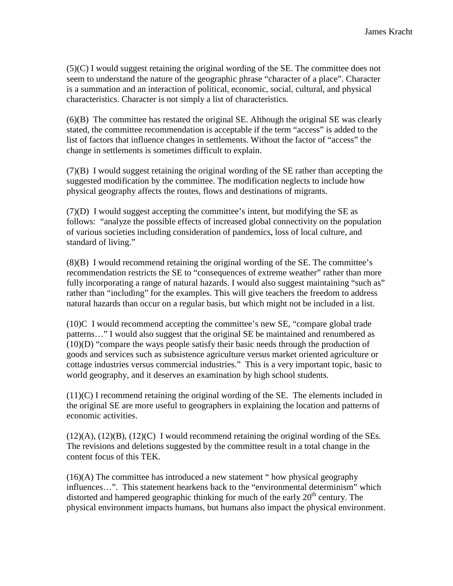(5)(C) I would suggest retaining the original wording of the SE. The committee does not seem to understand the nature of the geographic phrase "character of a place". Character is a summation and an interaction of political, economic, social, cultural, and physical characteristics. Character is not simply a list of characteristics.

(6)(B) The committee has restated the original SE. Although the original SE was clearly stated, the committee recommendation is acceptable if the term "access" is added to the list of factors that influence changes in settlements. Without the factor of "access" the change in settlements is sometimes difficult to explain.

(7)(B) I would suggest retaining the original wording of the SE rather than accepting the suggested modification by the committee. The modification neglects to include how physical geography affects the routes, flows and destinations of migrants.

(7)(D) I would suggest accepting the committee's intent, but modifying the SE as follows: "analyze the possible effects of increased global connectivity on the population of various societies including consideration of pandemics, loss of local culture, and standard of living."

(8)(B) I would recommend retaining the original wording of the SE. The committee's recommendation restricts the SE to "consequences of extreme weather" rather than more fully incorporating a range of natural hazards. I would also suggest maintaining "such as" rather than "including" for the examples. This will give teachers the freedom to address natural hazards than occur on a regular basis, but which might not be included in a list.

(10)C I would recommend accepting the committee's new SE, "compare global trade patterns…" I would also suggest that the original SE be maintained and renumbered as (10)(D) "compare the ways people satisfy their basic needs through the production of goods and services such as subsistence agriculture versus market oriented agriculture or cottage industries versus commercial industries." This is a very important topic, basic to world geography, and it deserves an examination by high school students.

 $(11)(C)$  I recommend retaining the original wording of the SE. The elements included in the original SE are more useful to geographers in explaining the location and patterns of economic activities.

 $(12)(A)$ ,  $(12)(B)$ ,  $(12)(C)$  I would recommend retaining the original wording of the SEs. The revisions and deletions suggested by the committee result in a total change in the content focus of this TEK.

(16)(A) The committee has introduced a new statement " how physical geography influences…". This statement hearkens back to the "environmental determinism" which distorted and hampered geographic thinking for much of the early  $20<sup>th</sup>$  century. The physical environment impacts humans, but humans also impact the physical environment.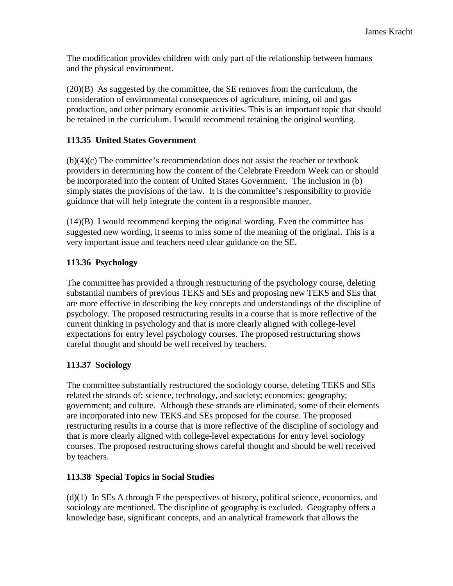The modification provides children with only part of the relationship between humans and the physical environment.

(20)(B) As suggested by the committee, the SE removes from the curriculum, the consideration of environmental consequences of agriculture, mining, oil and gas production, and other primary economic activities. This is an important topic that should be retained in the curriculum. I would recommend retaining the original wording.

#### **113.35 United States Government**

(b)(4)(c) The committee's recommendation does not assist the teacher or textbook providers in determining how the content of the Celebrate Freedom Week can or should be incorporated into the content of United States Government. The inclusion in (b) simply states the provisions of the law. It is the committee's responsibility to provide guidance that will help integrate the content in a responsible manner.

(14)(B) I would recommend keeping the original wording. Even the committee has suggested new wording, it seems to miss some of the meaning of the original. This is a very important issue and teachers need clear guidance on the SE.

## **113.36 Psychology**

The committee has provided a through restructuring of the psychology course, deleting substantial numbers of previous TEKS and SEs and proposing new TEKS and SEs that are more effective in describing the key concepts and understandings of the discipline of psychology. The proposed restructuring results in a course that is more reflective of the current thinking in psychology and that is more clearly aligned with college-level expectations for entry level psychology courses. The proposed restructuring shows careful thought and should be well received by teachers.

#### **113.37 Sociology**

The committee substantially restructured the sociology course, deleting TEKS and SEs related the strands of: science, technology, and society; economics; geography; government; and culture. Although these strands are eliminated, some of their elements are incorporated into new TEKS and SEs proposed for the course. The proposed restructuring results in a course that is more reflective of the discipline of sociology and that is more clearly aligned with college-level expectations for entry level sociology courses. The proposed restructuring shows careful thought and should be well received by teachers.

#### **113.38 Special Topics in Social Studies**

(d)(1) In SEs A through F the perspectives of history, political science, economics, and sociology are mentioned. The discipline of geography is excluded. Geography offers a knowledge base, significant concepts, and an analytical framework that allows the